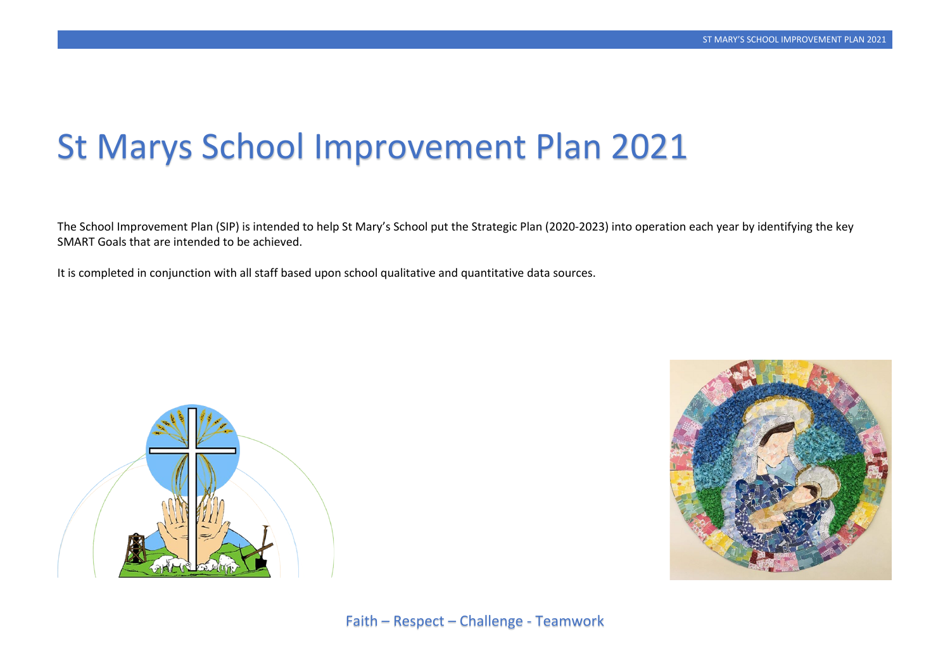# St Marys School Improvement Plan 2021

The School Improvement Plan (SIP) is intended to help St Mary's School put the Strategic Plan (2020-2023) into operation each year by identifying the key SMART Goals that are intended to be achieved.

It is completed in conjunction with all staff based upon school qualitative and quantitative data sources.



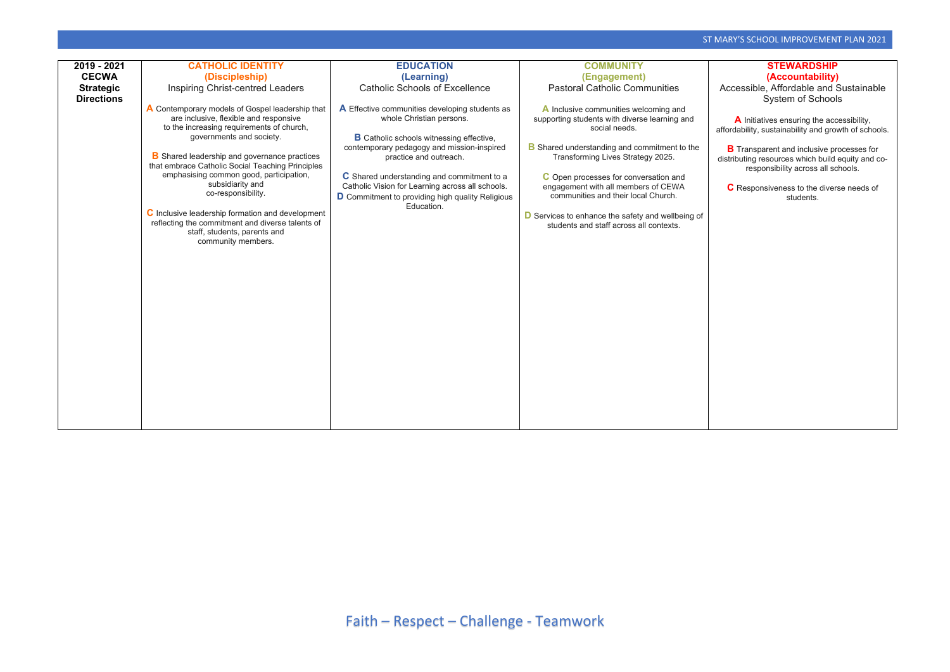Accessible, Affordable and Sustainable System of Schools

| 2019 - 2021       | <b>CATHOLIC IDENTITY</b>                                                                                | <b>EDUCATION</b>                                 | <b>COMMUNITY</b>                                    |  |
|-------------------|---------------------------------------------------------------------------------------------------------|--------------------------------------------------|-----------------------------------------------------|--|
| <b>CECWA</b>      | (Discipleship)                                                                                          | (Learning)                                       | (Engagement)                                        |  |
| <b>Strategic</b>  | <b>Inspiring Christ-centred Leaders</b>                                                                 | <b>Catholic Schools of Excellence</b>            | <b>Pastoral Catholic Communities</b>                |  |
| <b>Directions</b> |                                                                                                         |                                                  |                                                     |  |
|                   | A Contemporary models of Gospel leadership that                                                         | A Effective communities developing students as   | A Inclusive communities welcoming and               |  |
|                   | are inclusive, flexible and responsive                                                                  | whole Christian persons.                         | supporting students with diverse learning and       |  |
|                   | to the increasing requirements of church,                                                               |                                                  | social needs.                                       |  |
|                   | governments and society.                                                                                | <b>B</b> Catholic schools witnessing effective,  |                                                     |  |
|                   |                                                                                                         | contemporary pedagogy and mission-inspired       | <b>B</b> Shared understanding and commitment to the |  |
|                   | <b>B</b> Shared leadership and governance practices<br>that embrace Catholic Social Teaching Principles | practice and outreach.                           | Transforming Lives Strategy 2025.                   |  |
|                   | emphasising common good, participation,                                                                 | C Shared understanding and commitment to a       | C Open processes for conversation and               |  |
|                   | subsidiarity and                                                                                        | Catholic Vision for Learning across all schools. | engagement with all members of CEWA                 |  |
|                   | co-responsibility.                                                                                      | D Commitment to providing high quality Religious | communities and their local Church.                 |  |
|                   |                                                                                                         | Education.                                       |                                                     |  |
|                   | C Inclusive leadership formation and development                                                        |                                                  | D Services to enhance the safety and wellbeing of   |  |
|                   | reflecting the commitment and diverse talents of                                                        |                                                  | students and staff across all contexts.             |  |
|                   | staff, students, parents and                                                                            |                                                  |                                                     |  |
|                   | community members.                                                                                      |                                                  |                                                     |  |
|                   |                                                                                                         |                                                  |                                                     |  |
|                   |                                                                                                         |                                                  |                                                     |  |
|                   |                                                                                                         |                                                  |                                                     |  |
|                   |                                                                                                         |                                                  |                                                     |  |
|                   |                                                                                                         |                                                  |                                                     |  |
|                   |                                                                                                         |                                                  |                                                     |  |
|                   |                                                                                                         |                                                  |                                                     |  |
|                   |                                                                                                         |                                                  |                                                     |  |
|                   |                                                                                                         |                                                  |                                                     |  |
|                   |                                                                                                         |                                                  |                                                     |  |
|                   |                                                                                                         |                                                  |                                                     |  |
|                   |                                                                                                         |                                                  |                                                     |  |
|                   |                                                                                                         |                                                  |                                                     |  |
|                   |                                                                                                         |                                                  |                                                     |  |
|                   |                                                                                                         |                                                  |                                                     |  |
|                   |                                                                                                         |                                                  |                                                     |  |
|                   |                                                                                                         |                                                  |                                                     |  |

**B** Transparent and inclusive processes for distributing resources which build equity and coresponsibility across all schools.

## **STEWARDSHIP (Accountability)**

**A** Initiatives ensuring the accessibility, affordability, sustainability and growth of schools.

**C** Responsiveness to the diverse needs of students.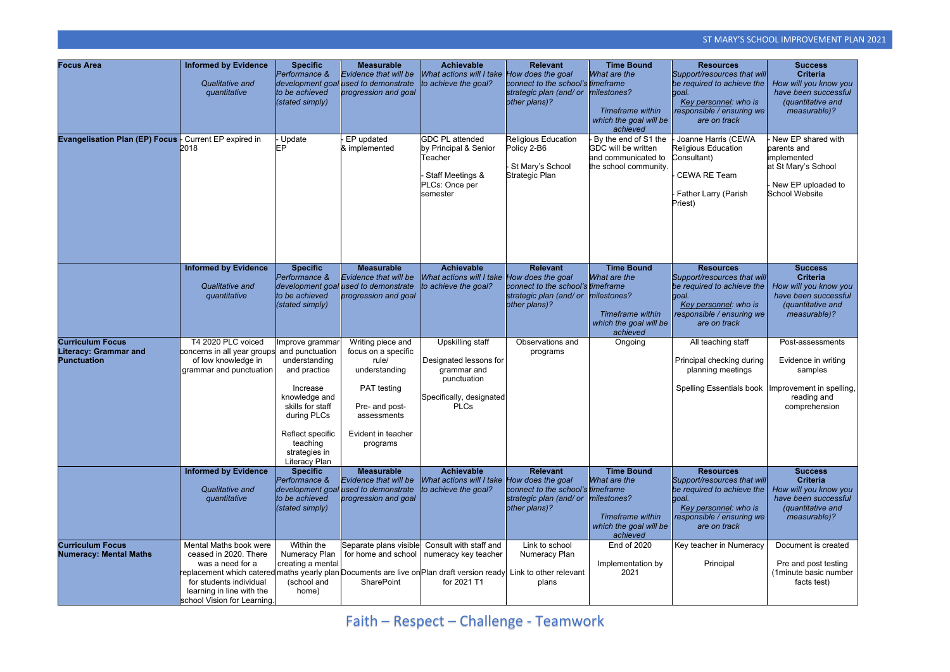| <b>Focus Area</b>                                                             | <b>Informed by Evidence</b><br>Qualitative and<br>quantitative                                                                                                                                                                                                                  | <b>Specific</b><br>Performance &<br>development goal<br>to be achieved<br>(stated simply)                                                                                                             | <b>Measurable</b><br>Evidence that will be<br>used to demonstrate<br>progression and goal                                                            | <b>Achievable</b><br>What actions will I take How does the goal<br>to achieve the goal?                        | <b>Relevant</b><br>connect to the school's timeframe<br>strategic plan (and/ or<br>other plans)? | <b>Time Bound</b><br>What are the<br>milestones?<br>Timeframe within<br>which the goal will be<br>achieved | <b>Resources</b><br>Support/resources that will<br>be required to achieve the<br>goal.<br>Key personnel: who is<br>responsible / ensuring we<br>are on track | <b>Success</b><br><b>Criteria</b><br>How will you know you<br>have been successful<br>(quantitative and<br>measurable)?  |
|-------------------------------------------------------------------------------|---------------------------------------------------------------------------------------------------------------------------------------------------------------------------------------------------------------------------------------------------------------------------------|-------------------------------------------------------------------------------------------------------------------------------------------------------------------------------------------------------|------------------------------------------------------------------------------------------------------------------------------------------------------|----------------------------------------------------------------------------------------------------------------|--------------------------------------------------------------------------------------------------|------------------------------------------------------------------------------------------------------------|--------------------------------------------------------------------------------------------------------------------------------------------------------------|--------------------------------------------------------------------------------------------------------------------------|
| <b>Evangelisation Plan (EP) Focus</b> Furrent EP expired in                   | 2018                                                                                                                                                                                                                                                                            | Update<br>EP.                                                                                                                                                                                         | EP updated<br>& implemented                                                                                                                          | <b>GDC PL attended</b><br>by Principal & Senior<br>Teacher<br>- Staff Meetings &<br>PLCs: Once per<br>semester | <b>Religious Education</b><br>Policy 2-B6<br>- St Mary's School<br><b>Strategic Plan</b>         | By the end of S1 the<br>GDC will be written<br>and communicated to<br>the school community.                | Joanne Harris (CEWA<br><b>Religious Education</b><br>Consultant)<br><b>CEWA RE Team</b><br>Father Larry (Parish<br>Priest)                                   | New EP shared with<br>parents and<br>implemented<br>at St Mary's School<br>- New EP uploaded to<br><b>School Website</b> |
|                                                                               | <b>Informed by Evidence</b>                                                                                                                                                                                                                                                     | <b>Specific</b>                                                                                                                                                                                       | <b>Measurable</b>                                                                                                                                    | <b>Achievable</b>                                                                                              | <b>Relevant</b>                                                                                  | <b>Time Bound</b>                                                                                          | <b>Resources</b>                                                                                                                                             | <b>Success</b>                                                                                                           |
|                                                                               | Qualitative and<br>quantitative                                                                                                                                                                                                                                                 | Performance &<br>to be achieved<br>(stated simply)                                                                                                                                                    | Evidence that will be<br>development goal used to demonstrate<br>progression and goal                                                                | What actions will I take How does the goal<br>to achieve the goal?                                             | connect to the school's timeframe<br>strategic plan (and/ or<br>other plans)?                    | What are the<br>milestones?<br>Timeframe within<br>which the goal will be<br>achieved                      | Support/resources that will<br>be required to achieve the<br>goal.<br>Key personnel: who is<br>responsible / ensuring we<br>are on track                     | <b>Criteria</b><br>How will you know you<br>have been successful<br>(quantitative and<br>measurable)?                    |
| <b>Curriculum Focus</b><br><b>Literacy: Grammar and</b><br><b>Punctuation</b> | T4 2020 PLC voiced<br>concerns in all year groups<br>of low knowledge in<br>grammar and punctuation                                                                                                                                                                             | Improve grammar<br>and punctuation<br>understanding<br>and practice<br>Increase<br>knowledge and<br>skills for staff<br>during PLCs<br>Reflect specific<br>teaching<br>strategies in<br>Literacy Plan | Writing piece and<br>focus on a specific<br>rule/<br>understanding<br>PAT testing<br>Pre- and post-<br>assessments<br>Evident in teacher<br>programs | Upskilling staff<br>Designated lessons for<br>grammar and<br>punctuation<br>Specifically, designated<br>PLCs   | Observations and<br>programs                                                                     | Ongoing                                                                                                    | All teaching staff<br>Principal checking during<br>planning meetings<br>Spelling Essentials book   Improvement in spelling,                                  | Post-assessments<br>Evidence in writing<br>samples<br>reading and<br>comprehension                                       |
|                                                                               | <b>Informed by Evidence</b><br>Qualitative and<br>quantitative                                                                                                                                                                                                                  | <b>Specific</b><br>Performance &<br>development goal<br>to be achieved<br>(stated simply)                                                                                                             | <b>Measurable</b><br>Evidence that will be<br>used to demonstrate<br>progression and goal                                                            | <b>Achievable</b><br>What actions will I take How does the goal<br>to achieve the goal?                        | <b>Relevant</b><br>connect to the school's timeframe<br>strategic plan (and/ or<br>other plans)? | <b>Time Bound</b><br>What are the<br>milestones?<br>Timeframe within<br>which the goal will be<br>achieved | <b>Resources</b><br>Support/resources that will<br>be required to achieve the<br>goal.<br>Key personnel: who is<br>responsible / ensuring we<br>are on track | <b>Success</b><br><b>Criteria</b><br>How will you know you<br>have been successful<br>(quantitative and<br>measurable)?  |
| <b>Curriculum Focus</b><br><b>Numeracy: Mental Maths</b>                      | Mental Maths book were<br>ceased in 2020. There<br>was a need for a<br>replacement which catered∣maths yearly plan Documents are live onPlan draft version ready∣ Link to other relevant<br>for students individual<br>learning in line with the<br>school Vision for Learning. | Within the<br>Numeracy Plan<br>creating a mental<br>(school and<br>home)                                                                                                                              | <b>SharePoint</b>                                                                                                                                    | Separate plans visible Consult with staff and<br>for home and school   numeracy key teacher<br>for 2021 T1     | Link to school<br>Numeracy Plan<br>plans                                                         | <b>End of 2020</b><br>Implementation by<br>2021                                                            | Key teacher in Numeracy<br>Principal                                                                                                                         | Document is created<br>Pre and post testing<br>(1minute basic number<br>facts test)                                      |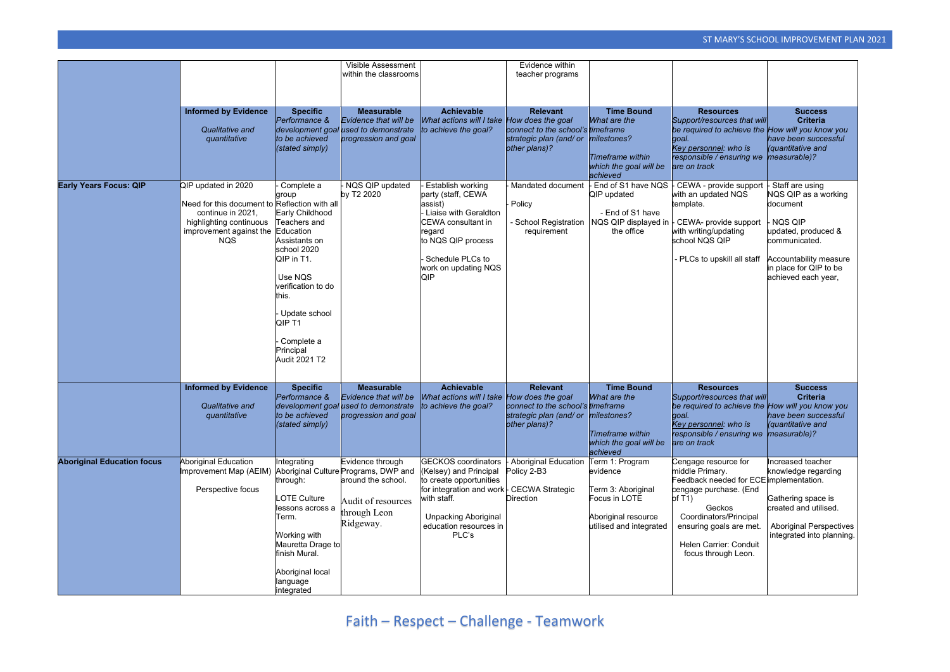|                                   |                                                                                                                                                               |                                                                                                                                                                                                                                           | Visible Assessment<br>within the classrooms                                                                                       |                                                                                                                                                                                                               | Evidence within<br>teacher programs                                                                          |                                                                                                                      |                                                                                                                                                                                                                                           |                                                                                                                                                                                   |
|-----------------------------------|---------------------------------------------------------------------------------------------------------------------------------------------------------------|-------------------------------------------------------------------------------------------------------------------------------------------------------------------------------------------------------------------------------------------|-----------------------------------------------------------------------------------------------------------------------------------|---------------------------------------------------------------------------------------------------------------------------------------------------------------------------------------------------------------|--------------------------------------------------------------------------------------------------------------|----------------------------------------------------------------------------------------------------------------------|-------------------------------------------------------------------------------------------------------------------------------------------------------------------------------------------------------------------------------------------|-----------------------------------------------------------------------------------------------------------------------------------------------------------------------------------|
|                                   | <b>Informed by Evidence</b><br>Qualitative and<br>quantitative                                                                                                | <b>Specific</b><br>Performance &<br>to be achieved<br>(stated simply)                                                                                                                                                                     | <b>Measurable</b><br>Evidence that will be<br>development goal used to demonstrate<br>progression and goal                        | <b>Achievable</b><br>What actions will I take How does the goal<br>to achieve the goal?                                                                                                                       | <b>Relevant</b><br>connect to the school's timeframe<br>strategic plan (and/ or<br>other plans)?             | <b>Time Bound</b><br>What are the<br>milestones?<br><b>Timeframe within</b><br>which the goal will be<br>achieved    | <b>Resources</b><br>Support/resources that will<br>be required to achieve the How will you know you<br>goal.<br>Key personnel: who is<br>responsible / ensuring we<br>are on track                                                        | <b>Success</b><br><b>Criteria</b><br>have been successful<br><i>(quantitative and</i><br>measurable)?                                                                             |
| <b>Early Years Focus: QIP</b>     | QIP updated in 2020<br>Need for this document to Reflection with all<br>continue in 2021,<br>highlighting continuous<br>improvement against the<br><b>NQS</b> | Complete a<br>group<br>Early Childhood<br>Teachers and<br>Education<br>Assistants on<br>school 2020<br>QIP in T1.<br>Use NQS<br>verification to do<br>this.<br>Update school<br>QIP T1<br>Complete a<br>Principal<br><b>Audit 2021 T2</b> | NQS QIP updated<br>by T2 2020                                                                                                     | Establish working<br>party (staff, CEWA<br>assist)<br>Liaise with Geraldton<br><b>CEWA</b> consultant in<br>regard<br>to NQS QIP process<br>Schedule PLCs to<br>work on updating NQS<br>QIP                   | Mandated document<br>Policy<br>- School Registration<br>requirement                                          | End of S1 have NQS<br><b>QIP</b> updated<br>- End of S1 have<br>NQS QIP displayed in<br>the office                   | ECEWA - provide support<br>with an updated NQS<br>template.<br>- CEWA- provide support<br>with writing/updating<br>school NQS QIP<br>- PLCs to upskill all staff                                                                          | Staff are using<br>NQS QIP as a working<br>document<br>NQS QIP<br>updated, produced &<br>communicated.<br>Accountability measure<br>in place for QIP to be<br>achieved each year, |
|                                   | <b>Informed by Evidence</b><br>Qualitative and<br>quantitative                                                                                                | <b>Specific</b><br>Performance &<br>to be achieved<br>(stated simply)                                                                                                                                                                     | <b>Measurable</b><br>Evidence that will be<br>development goal used to demonstrate<br>progression and goal                        | <b>Achievable</b><br>What actions will I take How does the goal<br>to achieve the goal?                                                                                                                       | <b>Relevant</b><br>connect to the school's timeframe<br>strategic plan (and/ or milestones?<br>other plans)? | <b>Time Bound</b><br>What are the<br><b>Timeframe within</b><br>which the goal will be<br>achieved                   | <b>Resources</b><br>Support/resources that will<br>be required to achieve the How will you know you<br>goal.<br>Key personnel: who is<br>responsible / ensuring we<br>are on track                                                        | <b>Success</b><br><b>Criteria</b><br>have been successful<br><i>(quantitative and</i><br>measurable)?                                                                             |
| <b>Aboriginal Education focus</b> | <b>Aboriginal Education</b><br>mprovement Map (AEIM)<br>Perspective focus                                                                                     | Integrating<br>through:<br><b>LOTE Culture</b><br>lessons across a<br>Term.<br>Working with<br>Mauretta Drage to<br>finish Mural.<br>Aboriginal local<br>language<br>integrated                                                           | Evidence through<br>Aboriginal Culture Programs, DWP and<br>around the school.<br>Audit of resources<br>through Leon<br>Ridgeway. | <b>GECKOS</b> coordinators<br>(Kelsey) and Principal<br>to create opportunities<br>for integration and work FCECWA Strategic<br>with staff.<br><b>Unpacking Aboriginal</b><br>education resources in<br>PLC's | <b>Aboriginal Education</b><br>Policy 2-B3<br><b>Direction</b>                                               | Term 1: Program<br>evidence<br>Term 3: Aboriginal<br>Focus in LOTE<br>Aboriginal resource<br>utilised and integrated | Cengage resource for<br>middle Primary.<br>Feedback needed for ECE implementation.<br>cengage purchase. (End<br>of $T1$ )<br>Geckos<br>Coordinators/Principal<br>ensuring goals are met.<br>Helen Carrier: Conduit<br>focus through Leon. | Increased teacher<br>knowledge regarding<br>Gathering space is<br>created and utilised.<br><b>Aboriginal Perspectives</b><br>integrated into planning.                            |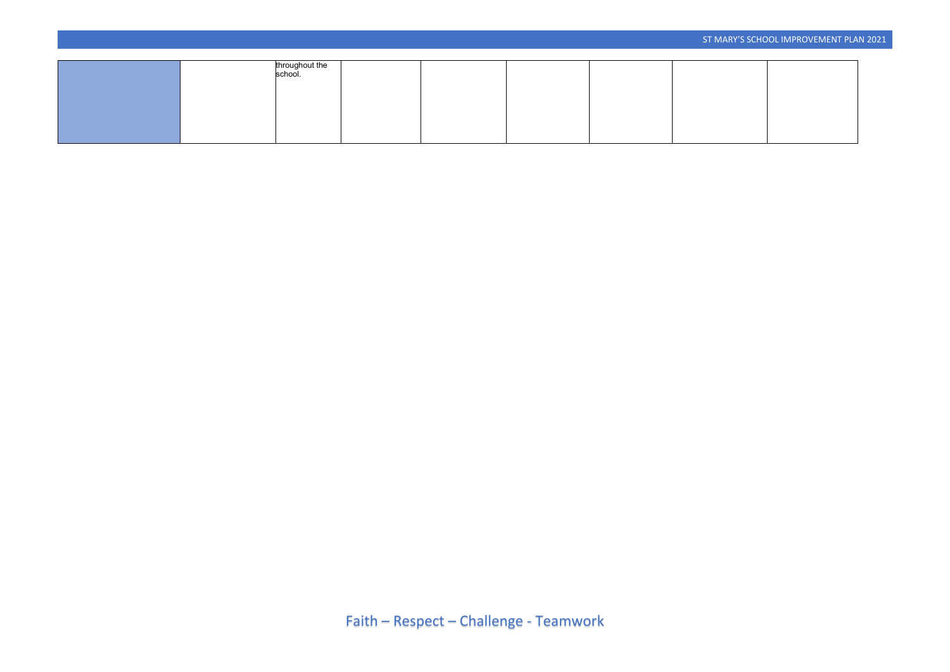| throughout the<br>school. |  |  |  |  |
|---------------------------|--|--|--|--|
|                           |  |  |  |  |
|                           |  |  |  |  |
|                           |  |  |  |  |
|                           |  |  |  |  |
|                           |  |  |  |  |
|                           |  |  |  |  |
|                           |  |  |  |  |
|                           |  |  |  |  |
|                           |  |  |  |  |